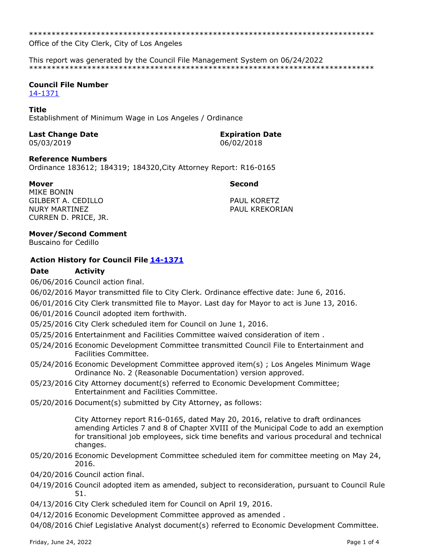\*\*\*\*\*\*\*\*\*\*\*\*\*\*\*\*\*\*\*\*\*\*\*\*\*\*\*\*\*\*\*\*\*\*\*\*\*\*\*\*\*\*\*\*\*\*\*\*\*\*\*\*\*\*\*\*\*\*\*\*\*\*\*\*\*\*\*\*\*\*\*\*\*\*\*\*\*

Office of the City Clerk, City of Los Angeles

This report was generated by the Council File Management System on 06/24/2022 \*\*\*\*\*\*\*\*\*\*\*\*\*\*\*\*\*\*\*\*\*\*\*\*\*\*\*\*\*\*\*\*\*\*\*\*\*\*\*\*\*\*\*\*\*\*\*\*\*\*\*\*\*\*\*\*\*\*\*\*\*\*\*\*\*\*\*\*\*\*\*\*\*\*\*\*\*

# **Council File Number**

[14-1371](https://cityclerk.lacity.org/lacityclerkconnect/index.cfm?fa=ccfi.viewrecord&cfnumber=14-1371)

### **Title**

Establishment of Minimum Wage in Los Angeles / Ordinance

# **Last Change Date Expiration Date**

05/03/2019 06/02/2018

## **Reference Numbers**

Ordinance 183612; 184319; 184320,City Attorney Report: R16-0165

### **Mover Second**

MIKE BONIN GILBERT A. CEDILLO NURY MARTINEZ CURREN D. PRICE, JR.

PAUL KORETZ PAUL KREKORIAN

### **Mover/Second Comment**

Buscaino for Cedillo

# **Action History for Council File [14-1371](https://cityclerk.lacity.org/lacityclerkconnect/index.cfm?fa=ccfi.viewrecord&cfnumber=14-1371)**

## **Date Activity**

06/06/2016 Council action final.

06/02/2016 Mayor transmitted file to City Clerk. Ordinance effective date: June 6, 2016.

- 06/01/2016 City Clerk transmitted file to Mayor. Last day for Mayor to act is June 13, 2016.
- 06/01/2016 Council adopted item forthwith.
- 05/25/2016 City Clerk scheduled item for Council on June 1, 2016.
- 05/25/2016 Entertainment and Facilities Committee waived consideration of item .
- 05/24/2016 Economic Development Committee transmitted Council File to Entertainment and Facilities Committee.
- 05/24/2016 Economic Development Committee approved item(s) ; Los Angeles Minimum Wage Ordinance No. 2 (Reasonable Documentation) version approved.
- 05/23/2016 City Attorney document(s) referred to Economic Development Committee; Entertainment and Facilities Committee.
- 05/20/2016 Document(s) submitted by City Attorney, as follows:

City Attorney report R16-0165, dated May 20, 2016, relative to draft ordinances amending Articles 7 and 8 of Chapter XVIII of the Municipal Code to add an exemption for transitional job employees, sick time benefits and various procedural and technical changes.

- 05/20/2016 Economic Development Committee scheduled item for committee meeting on May 24, 2016.
- 04/20/2016 Council action final.
- 04/19/2016 Council adopted item as amended, subject to reconsideration, pursuant to Council Rule 51.
- 04/13/2016 City Clerk scheduled item for Council on April 19, 2016.
- 04/12/2016 Economic Development Committee approved as amended .

04/08/2016 Chief Legislative Analyst document(s) referred to Economic Development Committee.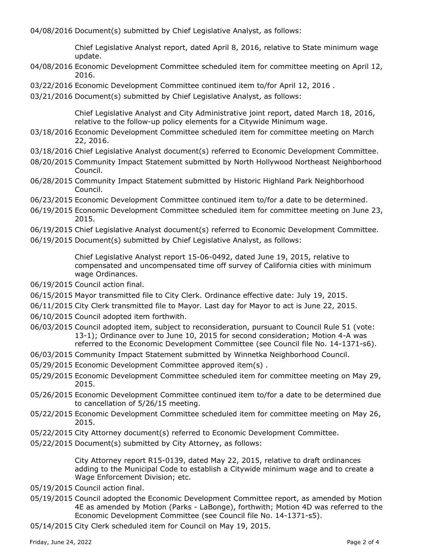04/08/2016 Document(s) submitted by Chief Legislative Analyst, as follows:

Chief Legislative Analyst report, dated April 8, 2016, relative to State minimum wage update.

- 04/08/2016 Economic Development Committee scheduled item for committee meeting on April 12, 2016.
- 03/22/2016 Economic Development Committee continued item to/for April 12, 2016 .
- 03/21/2016 Document(s) submitted by Chief Legislative Analyst, as follows:

Chief Legislative Analyst and City Administrative joint report, dated March 18, 2016, relative to the follow-up policy elements for a Citywide Minimum wage.

- 03/18/2016 Economic Development Committee scheduled item for committee meeting on March 22, 2016.
- 03/18/2016 Chief Legislative Analyst document(s) referred to Economic Development Committee.
- 08/20/2015 Community Impact Statement submitted by North Hollywood Northeast Neighborhood Council.
- 06/28/2015 Community Impact Statement submitted by Historic Highland Park Neighborhood Council.
- 06/23/2015 Economic Development Committee continued item to/for a date to be determined.
- 06/19/2015 Economic Development Committee scheduled item for committee meeting on June 23, 2015.
- 06/19/2015 Chief Legislative Analyst document(s) referred to Economic Development Committee.
- 06/19/2015 Document(s) submitted by Chief Legislative Analyst, as follows:

Chief Legislative Analyst report 15-06-0492, dated June 19, 2015, relative to compensated and uncompensated time off survey of California cities with minimum wage Ordinances.

- 06/19/2015 Council action final.
- 06/15/2015 Mayor transmitted file to City Clerk. Ordinance effective date: July 19, 2015.
- 06/11/2015 City Clerk transmitted file to Mayor. Last day for Mayor to act is June 22, 2015.
- 06/10/2015 Council adopted item forthwith.
- 06/03/2015 Council adopted item, subject to reconsideration, pursuant to Council Rule 51 (vote: 13-1); Ordinance over to June 10, 2015 for second consideration; Motion 4-A was referred to the Economic Development Committee (see Council file No. 14-1371-s6).
- 06/03/2015 Community Impact Statement submitted by Winnetka Neighborhood Council.
- 05/29/2015 Economic Development Committee approved item(s) .
- 05/29/2015 Economic Development Committee scheduled item for committee meeting on May 29, 2015.
- 05/26/2015 Economic Development Committee continued item to/for a date to be determined due to cancellation of 5/26/15 meeting.
- 05/22/2015 Economic Development Committee scheduled item for committee meeting on May 26, 2015.
- 05/22/2015 City Attorney document(s) referred to Economic Development Committee.
- 05/22/2015 Document(s) submitted by City Attorney, as follows:

City Attorney report R15-0139, dated May 22, 2015, relative to draft ordinances adding to the Municipal Code to establish a Citywide minimum wage and to create a Wage Enforcement Division; etc.

- 05/19/2015 Council action final.
- 05/19/2015 Council adopted the Economic Development Committee report, as amended by Motion 4E as amended by Motion (Parks - LaBonge), forthwith; Motion 4D was referred to the Economic Development Committee (see Council file No. 14-1371-s5).
- 05/14/2015 City Clerk scheduled item for Council on May 19, 2015.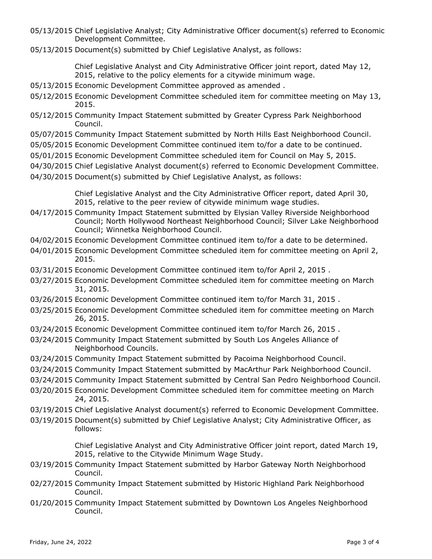- 05/13/2015 Chief Legislative Analyst; City Administrative Officer document(s) referred to Economic Development Committee.
- 05/13/2015 Document(s) submitted by Chief Legislative Analyst, as follows:

Chief Legislative Analyst and City Administrative Officer joint report, dated May 12, 2015, relative to the policy elements for a citywide minimum wage.

- 05/13/2015 Economic Development Committee approved as amended .
- 05/12/2015 Economic Development Committee scheduled item for committee meeting on May 13, 2015.
- 05/12/2015 Community Impact Statement submitted by Greater Cypress Park Neighborhood Council.
- 05/07/2015 Community Impact Statement submitted by North Hills East Neighborhood Council.
- 05/05/2015 Economic Development Committee continued item to/for a date to be continued.
- 05/01/2015 Economic Development Committee scheduled item for Council on May 5, 2015.
- 04/30/2015 Chief Legislative Analyst document(s) referred to Economic Development Committee.
- 04/30/2015 Document(s) submitted by Chief Legislative Analyst, as follows:

Chief Legislative Analyst and the City Administrative Officer report, dated April 30, 2015, relative to the peer review of citywide minimum wage studies.

- 04/17/2015 Community Impact Statement submitted by Elysian Valley Riverside Neighborhood Council; North Hollywood Northeast Neighborhood Council; Silver Lake Neighborhood Council; Winnetka Neighborhood Council.
- 04/02/2015 Economic Development Committee continued item to/for a date to be determined.
- 04/01/2015 Economic Development Committee scheduled item for committee meeting on April 2, 2015.
- 03/31/2015 Economic Development Committee continued item to/for April 2, 2015 .
- 03/27/2015 Economic Development Committee scheduled item for committee meeting on March 31, 2015.
- 03/26/2015 Economic Development Committee continued item to/for March 31, 2015 .
- 03/25/2015 Economic Development Committee scheduled item for committee meeting on March 26, 2015.
- 03/24/2015 Economic Development Committee continued item to/for March 26, 2015 .
- 03/24/2015 Community Impact Statement submitted by South Los Angeles Alliance of Neighborhood Councils.
- 03/24/2015 Community Impact Statement submitted by Pacoima Neighborhood Council.
- 03/24/2015 Community Impact Statement submitted by MacArthur Park Neighborhood Council.
- 03/24/2015 Community Impact Statement submitted by Central San Pedro Neighborhood Council.
- 03/20/2015 Economic Development Committee scheduled item for committee meeting on March 24, 2015.
- 03/19/2015 Chief Legislative Analyst document(s) referred to Economic Development Committee.
- 03/19/2015 Document(s) submitted by Chief Legislative Analyst; City Administrative Officer, as follows:

Chief Legislative Analyst and City Administrative Officer joint report, dated March 19, 2015, relative to the Citywide Minimum Wage Study.

- 03/19/2015 Community Impact Statement submitted by Harbor Gateway North Neighborhood Council.
- 02/27/2015 Community Impact Statement submitted by Historic Highland Park Neighborhood Council.
- 01/20/2015 Community Impact Statement submitted by Downtown Los Angeles Neighborhood Council.